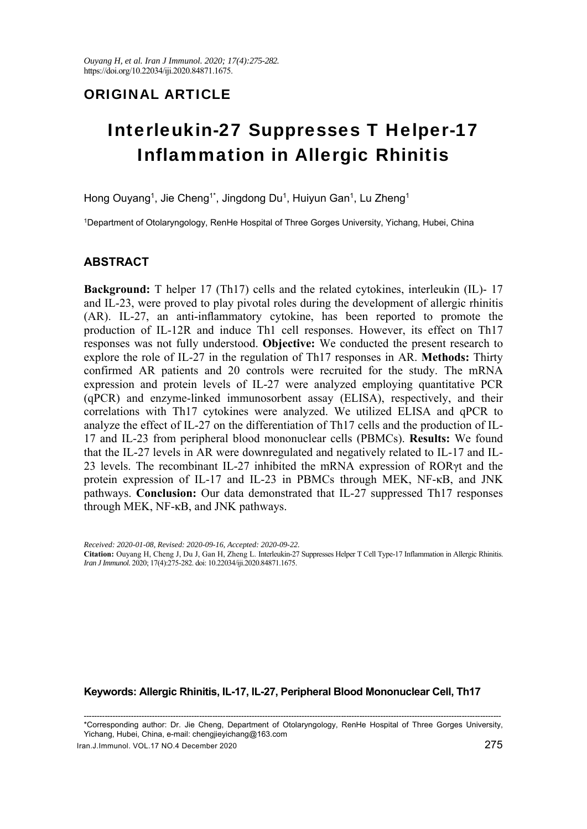## ORIGINAL ARTICLE

# Interleukin-27 Suppresses T Helper-17 Inflammation in Allergic Rhinitis

Hong Ouyang<sup>1</sup>, Jie Cheng<sup>1\*</sup>, Jingdong Du<sup>1</sup>, Huiyun Gan<sup>1</sup>, Lu Zheng<sup>1</sup>

1Department of Otolaryngology, RenHe Hospital of Three Gorges University, Yichang, Hubei, China

## **ABSTRACT**

**Background:** T helper 17 (Th17) cells and the related cytokines, interleukin (IL)- 17 and IL-23, were proved to play pivotal roles during the development of allergic rhinitis (AR). IL-27, an anti-inflammatory cytokine, has been reported to promote the production of IL-12R and induce Th1 cell responses. However, its effect on Th17 responses was not fully understood. **Objective:** We conducted the present research to explore the role of IL-27 in the regulation of Th17 responses in AR. **Methods:** Thirty confirmed AR patients and 20 controls were recruited for the study. The mRNA expression and protein levels of IL-27 were analyzed employing quantitative PCR (qPCR) and enzyme-linked immunosorbent assay (ELISA), respectively, and their correlations with Th17 cytokines were analyzed. We utilized ELISA and qPCR to analyze the effect of IL-27 on the differentiation of Th17 cells and the production of IL-17 and IL-23 from peripheral blood mononuclear cells (PBMCs). **Results:** We found that the IL-27 levels in AR were downregulated and negatively related to IL-17 and IL-23 levels. The recombinant IL-27 inhibited the mRNA expression of RORγt and the protein expression of IL-17 and IL-23 in PBMCs through MEK, NF-κB, and JNK pathways. **Conclusion:** Our data demonstrated that IL-27 suppressed Th17 responses through MEK, NF-κB, and JNK pathways.

*Received: 2020-01-08, Revised: 2020-09-16, Accepted: 2020-09-22.*  **Citation:** Ouyang H, Cheng J, Du J, Gan H, Zheng L. Interleukin-27 Suppresses Helper T Cell Type-17 Inflammation in Allergic Rhinitis. *Iran J Immunol.* 2020; 17(4):275-282. doi: 10.22034/iji.2020.84871.1675.

### **Keywords: Allergic Rhinitis, IL-17, IL-27, Peripheral Blood Mononuclear Cell, Th17**

--------------------------------------------------------------------------------------------------------------------------------------------------------------- \*Corresponding author: Dr. Jie Cheng, Department of Otolaryngology, RenHe Hospital of Three Gorges University, Yichang, Hubei, China, e-mail: chengjieyichang@163.com

Iran.J.Immunol. VOL.17 NO.4 December 2020 275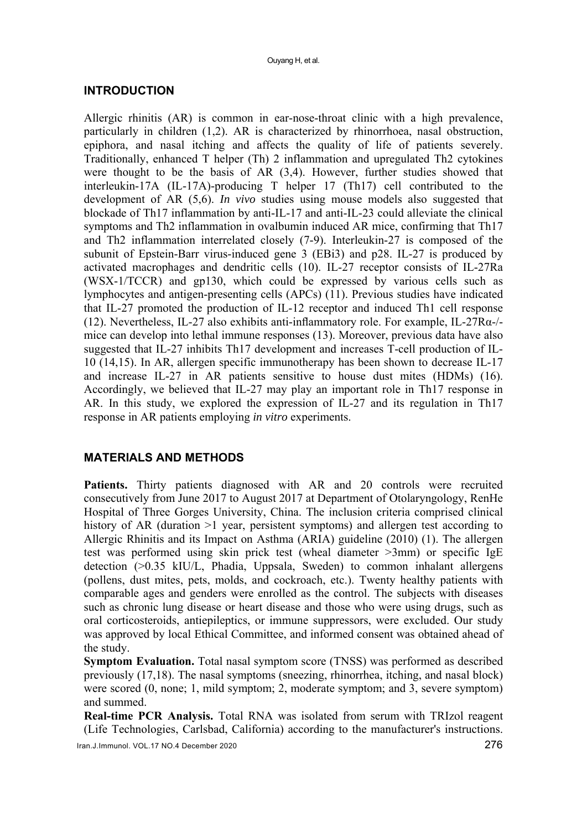## **INTRODUCTION**

Allergic rhinitis (AR) is common in ear-nose-throat clinic with a high prevalence, particularly in children (1,2). AR is characterized by rhinorrhoea, nasal obstruction, epiphora, and nasal itching and affects the quality of life of patients severely. Traditionally, enhanced T helper (Th) 2 inflammation and upregulated Th2 cytokines were thought to be the basis of AR (3,4). However, further studies showed that interleukin-17A (IL-17A)-producing T helper 17 (Th17) cell contributed to the development of AR (5,6). *In vivo* studies using mouse models also suggested that blockade of Th17 inflammation by anti-IL-17 and anti-IL-23 could alleviate the clinical symptoms and Th2 inflammation in ovalbumin induced AR mice, confirming that Th17 and Th2 inflammation interrelated closely (7-9). Interleukin-27 is composed of the subunit of Epstein-Barr virus-induced gene 3 (EBi3) and p28. IL-27 is produced by activated macrophages and dendritic cells (10). IL-27 receptor consists of IL-27Ra (WSX-1/TCCR) and gp130, which could be expressed by various cells such as lymphocytes and antigen-presenting cells (APCs) (11). Previous studies have indicated that IL-27 promoted the production of IL-12 receptor and induced Th1 cell response (12). Nevertheless, IL-27 also exhibits anti-inflammatory role. For example, IL-27Rα-/ mice can develop into lethal immune responses (13). Moreover, previous data have also suggested that IL-27 inhibits Th17 development and increases T-cell production of IL-10 (14,15). In AR, allergen specific immunotherapy has been shown to decrease IL-17 and increase IL-27 in AR patients sensitive to house dust mites (HDMs) (16). Accordingly, we believed that IL-27 may play an important role in Th17 response in AR. In this study, we explored the expression of IL-27 and its regulation in Th17 response in AR patients employing *in vitro* experiments.

## **MATERIALS AND METHODS**

Patients. Thirty patients diagnosed with AR and 20 controls were recruited consecutively from June 2017 to August 2017 at Department of Otolaryngology, RenHe Hospital of Three Gorges University, China. The inclusion criteria comprised clinical history of AR (duration >1 year, persistent symptoms) and allergen test according to Allergic Rhinitis and its Impact on Asthma (ARIA) guideline (2010) (1). The allergen test was performed using skin prick test (wheal diameter >3mm) or specific IgE detection (>0.35 kIU/L, Phadia, Uppsala, Sweden) to common inhalant allergens (pollens, dust mites, pets, molds, and cockroach, etc.). Twenty healthy patients with comparable ages and genders were enrolled as the control. The subjects with diseases such as chronic lung disease or heart disease and those who were using drugs, such as oral corticosteroids, antiepileptics, or immune suppressors, were excluded. Our study was approved by local Ethical Committee, and informed consent was obtained ahead of the study.

**Symptom Evaluation.** Total nasal symptom score (TNSS) was performed as described previously (17,18). The nasal symptoms (sneezing, rhinorrhea, itching, and nasal block) were scored (0, none; 1, mild symptom; 2, moderate symptom; and 3, severe symptom) and summed.

**Real-time PCR Analysis.** Total RNA was isolated from serum with TRIzol reagent (Life Technologies, Carlsbad, California) according to the manufacturer's instructions.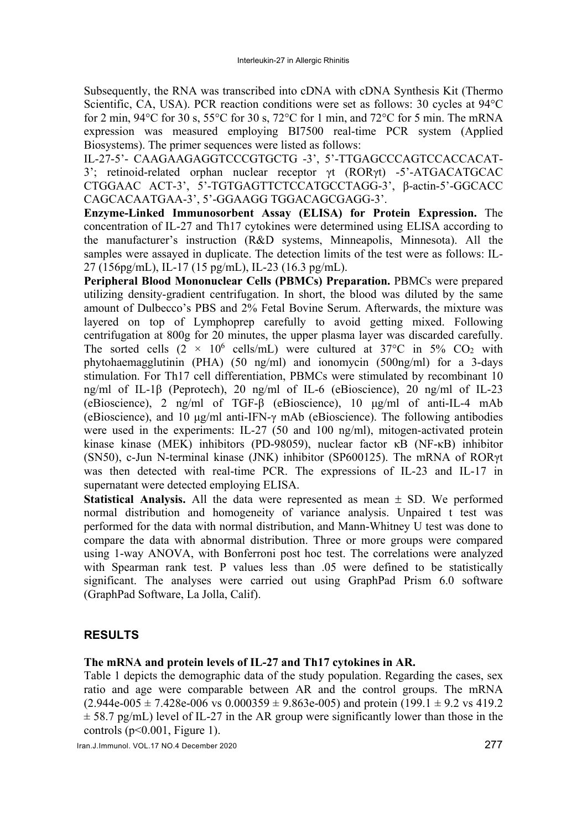Subsequently, the RNA was transcribed into cDNA with cDNA Synthesis Kit (Thermo Scientific, CA, USA). PCR reaction conditions were set as follows: 30 cycles at 94°C for 2 min,  $94^{\circ}$ C for 30 s,  $55^{\circ}$ C for 30 s,  $72^{\circ}$ C for 1 min, and  $72^{\circ}$ C for 5 min. The mRNA expression was measured employing BI7500 real-time PCR system (Applied Biosystems). The primer sequences were listed as follows:

IL-27-5'- CAAGAAGAGGTCCCGTGCTG -3', 5'-TTGAGCCCAGTCCACCACAT-3'; retinoid-related orphan nuclear receptor γt (RORγt) -5'-ATGACATGCAC CTGGAAC ACT-3', 5'-TGTGAGTTCTCCATGCCTAGG-3', β-actin-5'-GGCACC CAGCACAATGAA-3', 5'-GGAAGG TGGACAGCGAGG-3'.

**Enzyme-Linked Immunosorbent Assay (ELISA) for Protein Expression.** The concentration of IL-27 and Th17 cytokines were determined using ELISA according to the manufacturer's instruction (R&D systems, Minneapolis, Minnesota). All the samples were assayed in duplicate. The detection limits of the test were as follows: IL-27 (156pg/mL), IL-17 (15 pg/mL), IL-23 (16.3 pg/mL).

**Peripheral Blood Mononuclear Cells (PBMCs) Preparation.** PBMCs were prepared utilizing density-gradient centrifugation. In short, the blood was diluted by the same amount of Dulbecco's PBS and 2% Fetal Bovine Serum. Afterwards, the mixture was layered on top of Lymphoprep carefully to avoid getting mixed. Following centrifugation at 800g for 20 minutes, the upper plasma layer was discarded carefully. The sorted cells  $(2 \times 10^6 \text{ cells/mL})$  were cultured at 37°C in 5% CO<sub>2</sub> with phytohaemagglutinin (PHA) (50 ng/ml) and ionomycin (500ng/ml) for a 3-days stimulation. For Th17 cell differentiation, PBMCs were stimulated by recombinant 10 ng/ml of IL-1β (Peprotech), 20 ng/ml of IL-6 (eBioscience), 20 ng/ml of IL-23 (eBioscience), 2 ng/ml of TGF-β (eBioscience), 10 μg/ml of anti-IL-4 mAb (eBioscience), and 10 μg/ml anti-IFN-γ mAb (eBioscience). The following antibodies were used in the experiments: IL-27 (50 and 100 ng/ml), mitogen-activated protein kinase kinase (MEK) inhibitors (PD-98059), nuclear factor κB (NF-κB) inhibitor (SN50), c-Jun N-terminal kinase (JNK) inhibitor (SP600125). The mRNA of RORγt was then detected with real-time PCR. The expressions of IL-23 and IL-17 in supernatant were detected employing ELISA.

**Statistical Analysis.** All the data were represented as mean  $\pm$  SD. We performed normal distribution and homogeneity of variance analysis. Unpaired t test was performed for the data with normal distribution, and Mann-Whitney U test was done to compare the data with abnormal distribution. Three or more groups were compared using 1-way ANOVA, with Bonferroni post hoc test. The correlations were analyzed with Spearman rank test. P values less than .05 were defined to be statistically significant. The analyses were carried out using GraphPad Prism 6.0 software (GraphPad Software, La Jolla, Calif).

## **RESULTS**

## **The mRNA and protein levels of IL-27 and Th17 cytokines in AR.**

Table 1 depicts the demographic data of the study population. Regarding the cases, sex ratio and age were comparable between AR and the control groups. The mRNA  $(2.944e-005 \pm 7.428e-006 \text{ vs } 0.000359 \pm 9.863e-005)$  and protein  $(199.1 \pm 9.2 \text{ vs } 419.2)$  $\pm$  58.7 pg/mL) level of IL-27 in the AR group were significantly lower than those in the controls  $(p<0.001$ , Figure 1).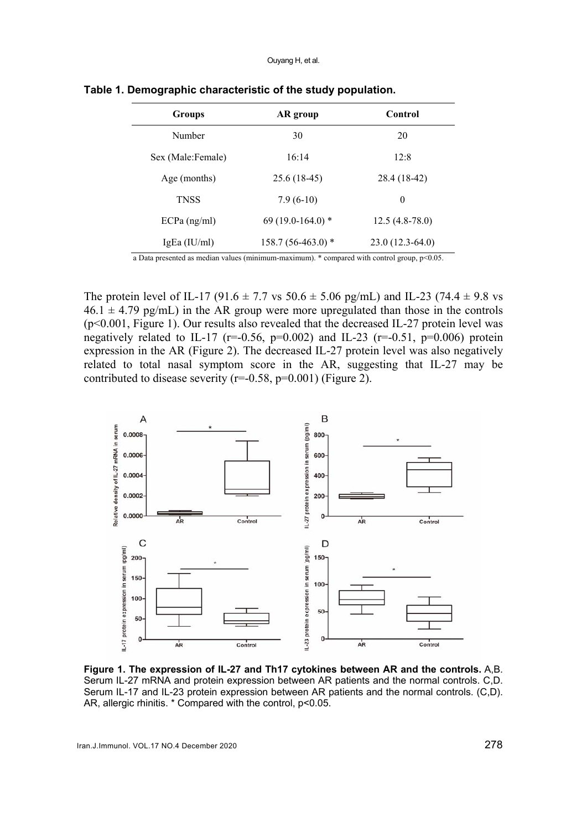| <b>Groups</b>     | AR group           | Control           |
|-------------------|--------------------|-------------------|
| Number            | 30                 | 20                |
| Sex (Male:Female) | 16:14              | 12:8              |
| Age (months)      | $25.6(18-45)$      | 28.4 (18-42)      |
| <b>TNSS</b>       | $7.9(6-10)$        | $\theta$          |
| $ECPa$ (ng/ml)    | 69 (19.0-164.0) *  | $12.5(4.8-78.0)$  |
| IgEa (IU/ml)      | 158.7 (56-463.0) * | $23.0(12.3-64.0)$ |

**Table 1. Demographic characteristic of the study population.** 

a Data presented as median values (minimum-maximum). \* compared with control group, p<0.05.

The protein level of IL-17 (91.6  $\pm$  7.7 vs 50.6  $\pm$  5.06 pg/mL) and IL-23 (74.4  $\pm$  9.8 vs  $46.1 \pm 4.79$  pg/mL) in the AR group were more upregulated than those in the controls (p<0.001, Figure 1). Our results also revealed that the decreased IL-27 protein level was negatively related to IL-17 ( $r=0.56$ ,  $p=0.002$ ) and IL-23 ( $r=-0.51$ ,  $p=0.006$ ) protein expression in the AR (Figure 2). The decreased IL-27 protein level was also negatively related to total nasal symptom score in the AR, suggesting that IL-27 may be contributed to disease severity ( $r=-0.58$ ,  $p=0.001$ ) (Figure 2).



**Figure 1. The expression of IL-27 and Th17 cytokines between AR and the controls.** A,B. Serum IL-27 mRNA and protein expression between AR patients and the normal controls. C,D. Serum IL-17 and IL-23 protein expression between AR patients and the normal controls. (C,D). AR, allergic rhinitis. \* Compared with the control, p<0.05.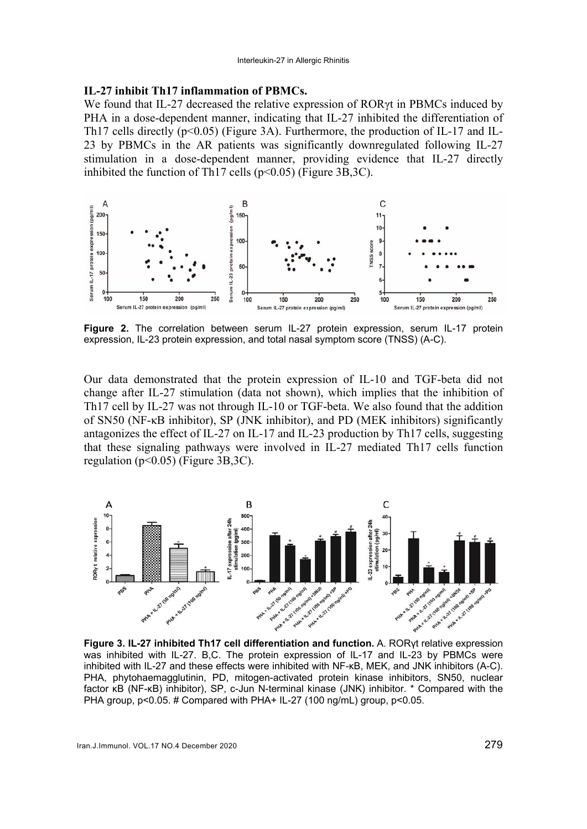#### **IL-27 inhibit Th17 inflammation of PBMCs.**

We found that IL-27 decreased the relative expression of RORγt in PBMCs induced by PHA in a dose-dependent manner, indicating that IL-27 inhibited the differentiation of Th17 cells directly (p<0.05) (Figure 3A). Furthermore, the production of IL-17 and IL-23 by PBMCs in the AR patients was significantly downregulated following IL-27 stimulation in a dose-dependent manner, providing evidence that IL-27 directly inhibited the function of Th17 cells ( $p<0.05$ ) (Figure 3B,3C).



**Figure 2.** The correlation between serum IL-27 protein expression, serum IL-17 protein expression, IL-23 protein expression, and total nasal symptom score (TNSS) (A-C).

Our data demonstrated that the protein expression of IL-10 and TGF-beta did not change after IL-27 stimulation (data not shown), which implies that the inhibition of Th17 cell by IL-27 was not through IL-10 or TGF-beta. We also found that the addition of SN50 (NF-κB inhibitor), SP (JNK inhibitor), and PD (MEK inhibitors) significantly antagonizes the effect of IL-27 on IL-17 and IL-23 production by Th17 cells, suggesting that these signaling pathways were involved in IL-27 mediated Th17 cells function regulation (p<0.05) (Figure 3B,3C).



**Figure 3. IL-27 inhibited Th17 cell differentiation and function.** A. RORγt relative expression was inhibited with IL-27. B,C. The protein expression of IL-17 and IL-23 by PBMCs were inhibited with IL-27 and these effects were inhibited with NF-κB, MEK, and JNK inhibitors (A-C). PHA, phytohaemagglutinin, PD, mitogen-activated protein kinase inhibitors, SN50, nuclear factor κB (NF-κB) inhibitor), SP, c-Jun N-terminal kinase (JNK) inhibitor. \* Compared with the PHA group, p<0.05. # Compared with PHA+ IL-27 (100 ng/mL) group, p<0.05.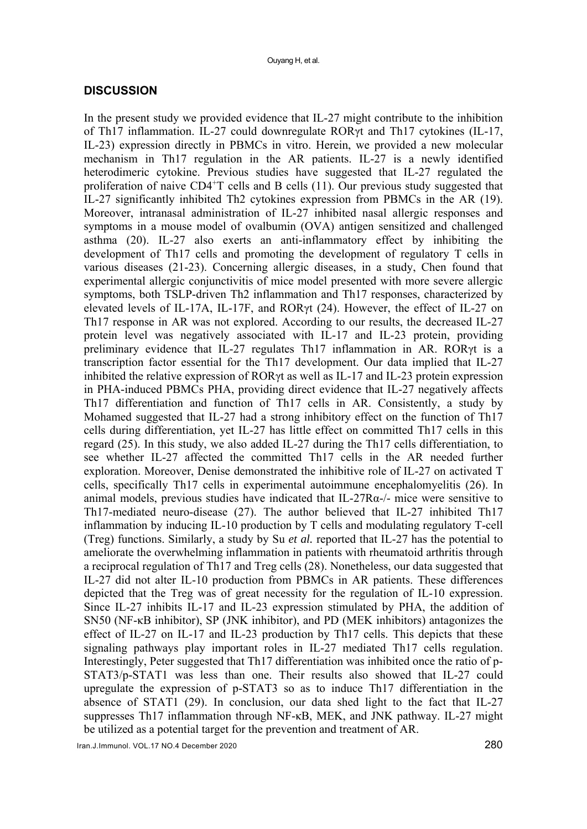#### **DISCUSSION**

In the present study we provided evidence that IL-27 might contribute to the inhibition of Th17 inflammation. IL-27 could downregulate RORγt and Th17 cytokines (IL-17, IL-23) expression directly in PBMCs in vitro. Herein, we provided a new molecular mechanism in Th17 regulation in the AR patients. IL-27 is a newly identified heterodimeric cytokine. Previous studies have suggested that IL-27 regulated the proliferation of naive CD4<sup>+</sup>T cells and B cells (11). Our previous study suggested that IL-27 significantly inhibited Th2 cytokines expression from PBMCs in the AR (19). Moreover, intranasal administration of IL-27 inhibited nasal allergic responses and symptoms in a mouse model of ovalbumin (OVA) antigen sensitized and challenged asthma (20). IL-27 also exerts an anti-inflammatory effect by inhibiting the development of Th17 cells and promoting the development of regulatory T cells in various diseases (21-23). Concerning allergic diseases, in a study, Chen found that experimental allergic conjunctivitis of mice model presented with more severe allergic symptoms, both TSLP-driven Th2 inflammation and Th17 responses, characterized by elevated levels of IL-17A, IL-17F, and RORγt (24). However, the effect of IL-27 on Th17 response in AR was not explored. According to our results, the decreased IL-27 protein level was negatively associated with IL-17 and IL-23 protein, providing preliminary evidence that IL-27 regulates Th17 inflammation in AR. RORγt is a transcription factor essential for the Th17 development. Our data implied that IL-27 inhibited the relative expression of RORγt as well as IL-17 and IL-23 protein expression in PHA-induced PBMCs PHA, providing direct evidence that IL-27 negatively affects Th17 differentiation and function of Th17 cells in AR. Consistently, a study by Mohamed suggested that IL-27 had a strong inhibitory effect on the function of Th17 cells during differentiation, yet IL-27 has little effect on committed Th17 cells in this regard (25). In this study, we also added IL-27 during the Th17 cells differentiation, to see whether IL-27 affected the committed Th17 cells in the AR needed further exploration. Moreover, Denise demonstrated the inhibitive role of IL-27 on activated T cells, specifically Th17 cells in experimental autoimmune encephalomyelitis (26). In animal models, previous studies have indicated that IL-27Rα-/- mice were sensitive to Th17-mediated neuro-disease (27). The author believed that IL-27 inhibited Th17 inflammation by inducing IL-10 production by T cells and modulating regulatory T-cell (Treg) functions. Similarly, a study by Su *et al.* reported that IL-27 has the potential to ameliorate the overwhelming inflammation in patients with rheumatoid arthritis through a reciprocal regulation of Th17 and Treg cells (28). Nonetheless, our data suggested that IL-27 did not alter IL-10 production from PBMCs in AR patients. These differences depicted that the Treg was of great necessity for the regulation of IL-10 expression. Since IL-27 inhibits IL-17 and IL-23 expression stimulated by PHA, the addition of SN50 (NF-κB inhibitor), SP (JNK inhibitor), and PD (MEK inhibitors) antagonizes the effect of IL-27 on IL-17 and IL-23 production by Th17 cells. This depicts that these signaling pathways play important roles in IL-27 mediated Th17 cells regulation. Interestingly, Peter suggested that Th17 differentiation was inhibited once the ratio of p-STAT3/p-STAT1 was less than one. Their results also showed that IL-27 could upregulate the expression of p-STAT3 so as to induce Th17 differentiation in the absence of STAT1 (29). In conclusion, our data shed light to the fact that IL-27 suppresses Th17 inflammation through NF-κB, MEK, and JNK pathway. IL-27 might be utilized as a potential target for the prevention and treatment of AR.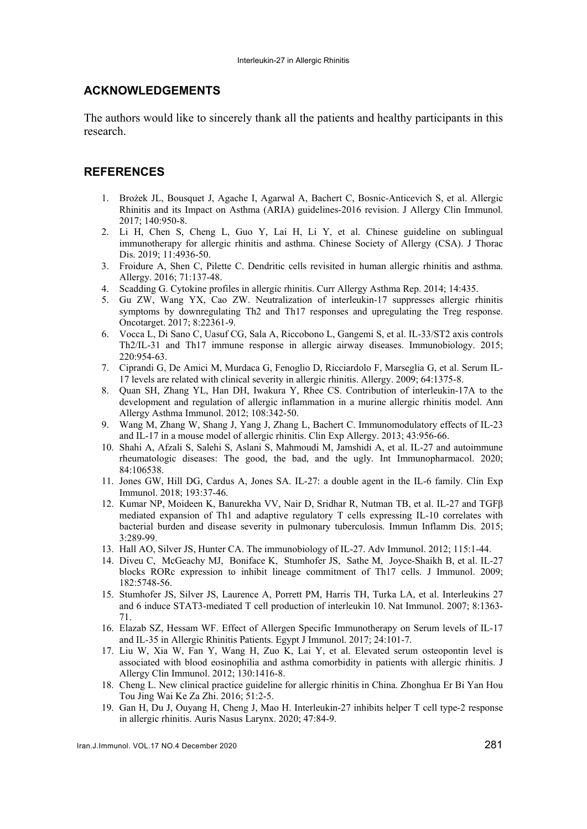#### **ACKNOWLEDGEMENTS**

The authors would like to sincerely thank all the patients and healthy participants in this research.

### **REFERENCES**

- 1. Brożek JL, Bousquet J, Agache I, Agarwal A, Bachert C, Bosnic-Anticevich S, et al. Allergic Rhinitis and its Impact on Asthma (ARIA) guidelines-2016 revision. J Allergy Clin Immunol. 2017; 140:950-8.
- 2. Li H, Chen S, Cheng L, Guo Y, Lai H, Li Y, et al. Chinese guideline on sublingual immunotherapy for allergic rhinitis and asthma. Chinese Society of Allergy (CSA). J Thorac Dis. 2019; 11:4936-50.
- 3. Froidure A, Shen C, Pilette C. Dendritic cells revisited in human allergic rhinitis and asthma. Allergy. 2016; 71:137-48.
- 4. Scadding G. Cytokine profiles in allergic rhinitis. Curr Allergy Asthma Rep. 2014; 14:435.
- 5. Gu ZW, Wang YX, Cao ZW. Neutralization of interleukin-17 suppresses allergic rhinitis symptoms by downregulating Th2 and Th17 responses and upregulating the Treg response. Oncotarget. 2017; 8:22361-9.
- 6. Vocca L, Di Sano C, Uasuf CG, Sala A, Riccobono L, Gangemi S, et al. IL-33/ST2 axis controls Th2/IL-31 and Th17 immune response in allergic airway diseases. Immunobiology. 2015; 220:954-63.
- 7. Ciprandi G, De Amici M, Murdaca G, Fenoglio D, Ricciardolo F, Marseglia G, et al. Serum IL-17 levels are related with clinical severity in allergic rhinitis. Allergy. 2009; 64:1375-8.
- 8. Quan SH, Zhang YL, Han DH, Iwakura Y, Rhee CS. Contribution of interleukin-17A to the development and regulation of allergic inflammation in a murine allergic rhinitis model. Ann Allergy Asthma Immunol. 2012; 108:342-50.
- 9. Wang M, Zhang W, Shang J, Yang J, Zhang L, Bachert C. Immunomodulatory effects of IL-23 and IL-17 in a mouse model of allergic rhinitis. Clin Exp Allergy. 2013; 43:956-66.
- 10. Shahi A, Afzali S, Salehi S, Aslani S, Mahmoudi M, Jamshidi A, et al. IL-27 and autoimmune rheumatologic diseases: The good, the bad, and the ugly. Int Immunopharmacol. 2020; 84:106538.
- 11. Jones GW, Hill DG, Cardus A, Jones SA. IL-27: a double agent in the IL-6 family. Clin Exp Immunol. 2018; 193:37-46.
- 12. Kumar NP, Moideen K, Banurekha VV, Nair D, Sridhar R, Nutman TB, et al. IL-27 and TGFβ mediated expansion of Th1 and adaptive regulatory T cells expressing IL-10 correlates with bacterial burden and disease severity in pulmonary tuberculosis. Immun Inflamm Dis. 2015; 3:289-99.
- 13. Hall AO, Silver JS, Hunter CA. The immunobiology of IL-27. Adv Immunol. 2012; 115:1-44.
- 14. Diveu C, McGeachy MJ, Boniface K, Stumhofer JS, Sathe M, Joyce-Shaikh B, et al. IL-27 blocks RORc expression to inhibit lineage commitment of Th17 cells. J Immunol. 2009; 182:5748-56.
- 15. Stumhofer JS, Silver JS, Laurence A, Porrett PM, Harris TH, Turka LA, et al. Interleukins 27 and 6 induce STAT3-mediated T cell production of interleukin 10. Nat Immunol. 2007; 8:1363- 71.
- 16. Elazab SZ, Hessam WF. Effect of Allergen Specific Immunotherapy on Serum levels of IL-17 and IL-35 in Allergic Rhinitis Patients. Egypt J Immunol. 2017; 24:101-7.
- 17. Liu W, Xia W, Fan Y, Wang H, Zuo K, Lai Y, et al. Elevated serum osteopontin level is associated with blood eosinophilia and asthma comorbidity in patients with allergic rhinitis. J Allergy Clin Immunol. 2012; 130:1416-8.
- 18. Cheng L. New clinical practice guideline for allergic rhinitis in China. Zhonghua Er Bi Yan Hou Tou Jing Wai Ke Za Zhi. 2016; 51:2-5.
- 19. Gan H, Du J, Ouyang H, Cheng J, Mao H. Interleukin-27 inhibits helper T cell type-2 response in allergic rhinitis. Auris Nasus Larynx. 2020; 47:84-9.